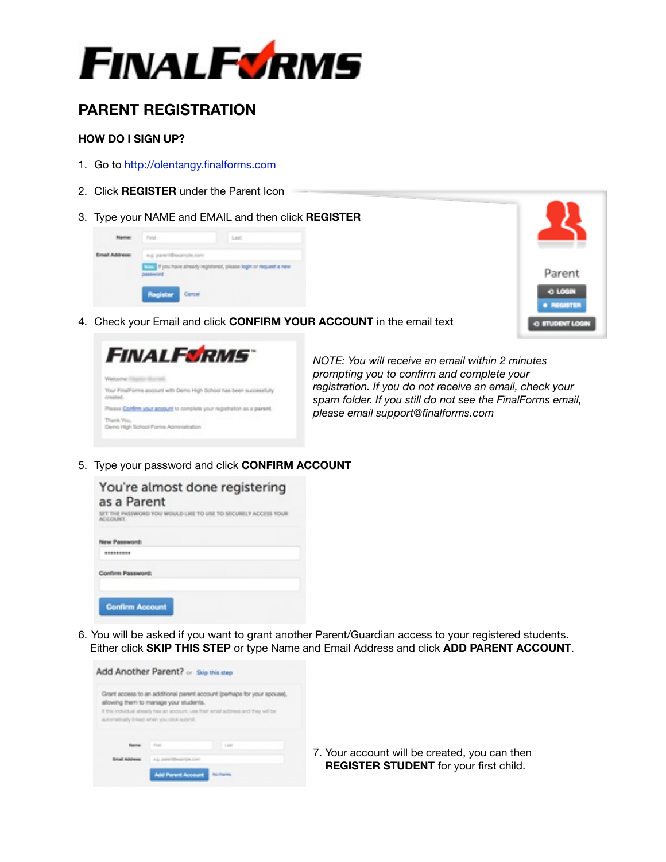

## **PARENT REGISTRATION**

## **HOW DO I SIGN UP?**

- 1. Go to <http://olentangy.finalforms.com>
- 2. Click **REGISTER** under the Parent Icon
- 3. Type your NAME and EMAIL and then click **REGISTER**





4. Check your Email and click **CONFIRM YOUR ACCOUNT** in the email text



 *prompting you to confirm and complete your registration. If you do not receive an email, check your spam folder. If you still do not see the FinalForms email, please email support@finalforms.com*

5. Type your password and click **CONFIRM ACCOUNT**

| You're almost done registering<br>as a Parent                              |
|----------------------------------------------------------------------------|
| SET THE PASSWORD YOU WOULD LIKE TO USE TO SECURELY ACCESS YOUR<br>ACCOUNT. |
| lew Password:                                                              |
| *********                                                                  |
| Confirm Password:                                                          |
| <b>Confirm Account</b>                                                     |
|                                                                            |

6. You will be asked if you want to grant another Parent/Guardian access to your registered students. Either click **SKIP THIS STEP** or type Name and Email Address and click **ADD PARENT ACCOUNT**.

| If this individual almody has an account, use their email address and they will be<br>automatically linked when you click submit. |       |
|-----------------------------------------------------------------------------------------------------------------------------------|-------|
|                                                                                                                                   |       |
|                                                                                                                                   |       |
| Free<br><b>Starting</b>                                                                                                           | Lied. |

Your account will be created, you can then **REGISTER STUDENT** for your first child.